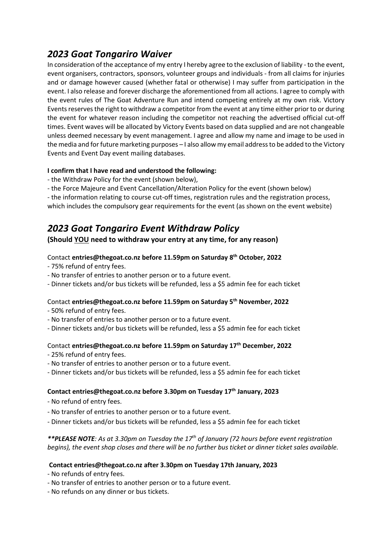# *2023 Goat Tongariro Waiver*

In consideration of the acceptance of my entry I hereby agree to the exclusion of liability - to the event, event organisers, contractors, sponsors, volunteer groups and individuals - from all claims for injuries and or damage however caused (whether fatal or otherwise) I may suffer from participation in the event. I also release and forever discharge the aforementioned from all actions. I agree to comply with the event rules of The Goat Adventure Run and intend competing entirely at my own risk. Victory Events reserves the right to withdraw a competitor from the event at any time either prior to or during the event for whatever reason including the competitor not reaching the advertised official cut-off times. Event waves will be allocated by Victory Events based on data supplied and are not changeable unless deemed necessary by event management. I agree and allow my name and image to be used in the media and for future marketing purposes – I also allow my email address to be added to the Victory Events and Event Day event mailing databases.

#### **I confirm that I have read and understood the following:**

- the Withdraw Policy for the event (shown below),
- the Force Majeure and Event Cancellation/Alteration Policy for the event (shown below)

- the information relating to course cut-off times, registration rules and the registration process, which includes the compulsory gear requirements for the event (as shown on the event website)

## *2023 Goat Tongariro Event Withdraw Policy*

#### **(Should YOU need to withdraw your entry at any time, for any reason)**

#### Contact **entries@thegoat.co.nz before 11.59pm on Saturday 8th October, 2022**

- 75% refund of entry fees.
- No transfer of entries to another person or to a future event.
- Dinner tickets and/or bus tickets will be refunded, less a \$5 admin fee for each ticket

#### Contact **entries@thegoat.co.nz before 11.59pm on Saturday 5th November, 2022**

- 50% refund of entry fees.
- No transfer of entries to another person or to a future event.
- Dinner tickets and/or bus tickets will be refunded, less a \$5 admin fee for each ticket

## Contact **entries@thegoat.co.nz before 11.59pm on Saturday 17th December, 2022**

- 25% refund of entry fees.
- No transfer of entries to another person or to a future event.
- Dinner tickets and/or bus tickets will be refunded, less a \$5 admin fee for each ticket

#### **Contact entries@thegoat.co.nz before 3.30pm on Tuesday 17th January, 2023**

- No refund of entry fees.
- No transfer of entries to another person or to a future event.
- Dinner tickets and/or bus tickets will be refunded, less a \$5 admin fee for each ticket

#### *\*\*PLEASE NOTE: As at 3.30pm on Tuesday the 17th of January (72 hours before event registration begins), the event shop closes and there will be no further bus ticket or dinner ticket sales available.*

#### **Contact entries@thegoat.co.nz after 3.30pm on Tuesday 17th January, 2023**

- No refunds of entry fees.
- No transfer of entries to another person or to a future event.
- No refunds on any dinner or bus tickets.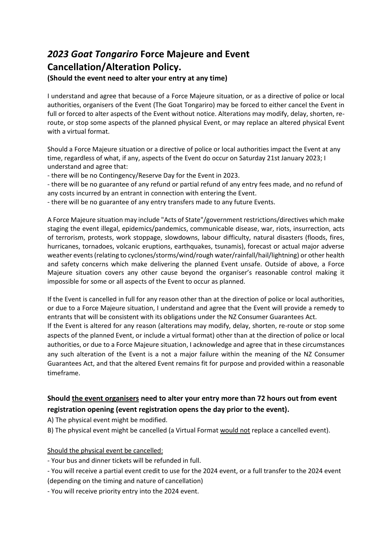# *2023 Goat Tongariro* **Force Majeure and Event Cancellation/Alteration Policy.**

#### **(Should the event need to alter your entry at any time)**

I understand and agree that because of a Force Majeure situation, or as a directive of police or local authorities, organisers of the Event (The Goat Tongariro) may be forced to either cancel the Event in full or forced to alter aspects of the Event without notice. Alterations may modify, delay, shorten, reroute, or stop some aspects of the planned physical Event, or may replace an altered physical Event with a virtual format.

Should a Force Majeure situation or a directive of police or local authorities impact the Event at any time, regardless of what, if any, aspects of the Event do occur on Saturday 21st January 2023; I understand and agree that:

- there will be no Contingency/Reserve Day for the Event in 2023.

- there will be no guarantee of any refund or partial refund of any entry fees made, and no refund of any costs incurred by an entrant in connection with entering the Event.

- there will be no guarantee of any entry transfers made to any future Events.

A Force Majeure situation may include "Acts of State"/government restrictions/directives which make staging the event illegal, epidemics/pandemics, communicable disease, war, riots, insurrection, acts of terrorism, protests, work stoppage, slowdowns, labour difficulty, natural disasters (floods, fires, hurricanes, tornadoes, volcanic eruptions, earthquakes, tsunamis), forecast or actual major adverse weather events (relating to cyclones/storms/wind/rough water/rainfall/hail/lightning) or other health and safety concerns which make delivering the planned Event unsafe. Outside of above, a Force Majeure situation covers any other cause beyond the organiser's reasonable control making it impossible for some or all aspects of the Event to occur as planned.

If the Event is cancelled in full for any reason other than at the direction of police or local authorities, or due to a Force Majeure situation, I understand and agree that the Event will provide a remedy to entrants that will be consistent with its obligations under the NZ Consumer Guarantees Act. If the Event is altered for any reason (alterations may modify, delay, shorten, re-route or stop some aspects of the planned Event, or include a virtual format) other than at the direction of police or local authorities, or due to a Force Majeure situation, I acknowledge and agree that in these circumstances any such alteration of the Event is a not a major failure within the meaning of the NZ Consumer Guarantees Act, and that the altered Event remains fit for purpose and provided within a reasonable timeframe.

## **Should the event organisers need to alter your entry more than 72 hours out from event registration opening (event registration opens the day prior to the event).**

A) The physical event might be modified.

B) The physical event might be cancelled (a Virtual Format would not replace a cancelled event).

Should the physical event be cancelled:

- Your bus and dinner tickets will be refunded in full.

- You will receive a partial event credit to use for the 2024 event, or a full transfer to the 2024 event (depending on the timing and nature of cancellation)

- You will receive priority entry into the 2024 event.